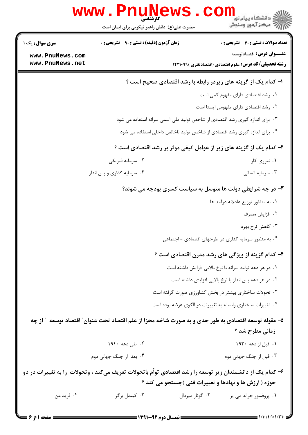|                                                                                                            | <b>www.Pnu</b><br>کارشناسی<br>حضرت علی(ع): دانش راهبر نیکویی برای ایمان است                          |                                                       | د دانشگاه پیام نور<br>۲ دانشگاه پیام نور<br>ر آمرڪز آزمون وسنڊش                                  |  |
|------------------------------------------------------------------------------------------------------------|------------------------------------------------------------------------------------------------------|-------------------------------------------------------|--------------------------------------------------------------------------------------------------|--|
| <b>سری سوال :</b> یک ۱                                                                                     | <b>زمان آزمون (دقیقه) : تستی : ۹۰ قشریحی : 0</b>                                                     |                                                       | <b>تعداد سوالات : تستي : 40 - تشريحي : 0</b>                                                     |  |
| www.PnuNews.com<br>www.PnuNews.net                                                                         |                                                                                                      |                                                       | <b>عنـــوان درس:</b> اقتصادتوسعه<br><b>رشته تحصیلی/کد درس:</b> علوم اقتصادی (اقتصادنظری )۱۲۲۱۰۹۹ |  |
|                                                                                                            |                                                                                                      |                                                       | ا- کدام یک از گزینه های زیردر رابطه با رشد اقتصادی صحیح است ؟                                    |  |
|                                                                                                            |                                                                                                      |                                                       | ۰۱ رشد اقتصادی دارای مفهوم کمی است                                                               |  |
|                                                                                                            |                                                                                                      |                                                       | ۰۲ رشد اقتصادی دارای مفهومی ایستا است                                                            |  |
|                                                                                                            |                                                                                                      |                                                       | ۰۳ برای اندازه گیری رشد اقتصادی از شاخص تولید ملی اسمی سرانه استفاده می شود                      |  |
|                                                                                                            |                                                                                                      |                                                       | ۰۴ برای اندازه گیری رشد اقتصادی از شاخص تولید ناخالص داخلی استفاده می شود                        |  |
|                                                                                                            |                                                                                                      |                                                       | ۲- کدام یک از گزینه های زیر از عوامل کیفی موثر بر رشد اقتصادی است ؟                              |  |
|                                                                                                            | ۰۲ سرمایه فیزیکی                                                                                     |                                                       | ۰۱ نیروی کار                                                                                     |  |
|                                                                                                            | ۰۴ سرمایه گذاری و پس انداز                                                                           |                                                       | ۰۳ سرمايه انسانى                                                                                 |  |
|                                                                                                            | <b>۳</b> - در چه شرایطی دولت ها متوسل به سیاست کسری بودجه می شوند؟                                   |                                                       |                                                                                                  |  |
|                                                                                                            |                                                                                                      |                                                       | ٠١. به منظور توزيع عادلانه درآمد ها                                                              |  |
|                                                                                                            |                                                                                                      |                                                       | ۰۲ افزایش مصرف                                                                                   |  |
|                                                                                                            |                                                                                                      |                                                       | ۰۳ کاهش نرخ بهره                                                                                 |  |
|                                                                                                            |                                                                                                      |                                                       | ۰۴ به منظور سرمایه گذاری در طرحهای اقتصادی - اجتماعی                                             |  |
|                                                                                                            |                                                                                                      |                                                       | ۴- کدام گزینه از ویژگی های رشد مدرن اقتصادی است ؟                                                |  |
|                                                                                                            |                                                                                                      |                                                       | ۰۱ در هر دهه تولید سرانه با نرخ بالایی افزایش داشته است                                          |  |
|                                                                                                            |                                                                                                      |                                                       | ۰۲ در هر دهه پس انداز با نرخ بالایی افزایش داشته است                                             |  |
|                                                                                                            |                                                                                                      |                                                       | ۰۳ تحولات ساختاری بیشتر در بخش کشاورزی صورت گرفته است                                            |  |
|                                                                                                            |                                                                                                      |                                                       | ۰۴ تغییرات ساختاری وابسته به تغییرات در الگوی عرضه بوده است                                      |  |
|                                                                                                            | ۵– مقوله توسعه اقتصادی به طور جدی و به صورت شاخه مجزا از علم اقتصاد تحت عنوان ؒ اقتصاد توسعه ٪ از چه |                                                       |                                                                                                  |  |
|                                                                                                            |                                                                                                      |                                                       | زمانی مطرح شد ؟                                                                                  |  |
|                                                                                                            | ۰۲ طی دهه ۱۹۴۰                                                                                       |                                                       | ۰۱ قبل از دهه ۱۹۳۰                                                                               |  |
|                                                                                                            | ۰۴ بعد از جنگ جهانی دوم                                                                              |                                                       | ۰۳ قبل از جنگ جهانی دوم                                                                          |  |
| ۶– کدام یک از دانشمندان زیر توسعه را رشد اقتصادی تواّم باتحولات تعریف میکند ، وتحولات ًرا به تغییرات در دو |                                                                                                      |                                                       |                                                                                                  |  |
|                                                                                                            |                                                                                                      | حوزه ( ارزش ها و نهادها و تغییرات فنی )جستجو می کند ؟ |                                                                                                  |  |
| ۰۴ فريد من                                                                                                 | ۰۳ کیندل برگر                                                                                        | ۰۲ گونار میردال                                       | ۰۱ پروفسور جرالد می پر                                                                           |  |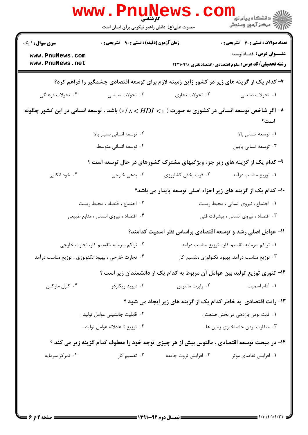|                                                                                             | <b>کار شناسی</b><br>حضرت علی(ع): دانش راهبر نیکویی برای ایمان است |                                                                                                                   | ر دانشڪاه پيام نور <mark>−</mark><br>// مرکز آزمون وسنڊش                                          |
|---------------------------------------------------------------------------------------------|-------------------------------------------------------------------|-------------------------------------------------------------------------------------------------------------------|---------------------------------------------------------------------------------------------------|
| زمان آزمون (دقیقه) : تستی : ۹۰٪ تشریحی : ۰<br><b>سری سوال : ۱ یک</b>                        |                                                                   |                                                                                                                   | <b>تعداد سوالات : تستی : 40 - تشریحی : 0</b>                                                      |
| www.PnuNews.com<br>www.PnuNews.net                                                          |                                                                   |                                                                                                                   | <b>عنـــوان درس:</b> اقتصادتوسعه<br><b>رشته تحصیلی/کد درس:</b> علوم اقتصادی (اقتصادنظری ) ۱۲۲۱۰۹۹ |
|                                                                                             |                                                                   | ۷- کدام یک از گزینه های زیر در کشور ژاپن زمینه لازم برای توسعه اقتصادی چشمگیر را فراهم کرد؟                       |                                                                                                   |
| ۰۴ تحولات فرهنگی                                                                            | ۰۳ تحولات سیاسی                                                   | ۰۲ تحولات تجاري                                                                                                   | ۰۱ تحولات صنعتی                                                                                   |
|                                                                                             |                                                                   | اگر شاخص توسعه انسانی در کشوری به صورت ( ۱ > /s/ ۸ < /lD > ۱) باشد ، توسعه انسانی در این کشور چگونه $\rightarrow$ | است؟                                                                                              |
|                                                                                             | ۰۲ توسعه انسانی بسیار بالا                                        |                                                                                                                   | ۰۱ توسعه انسانی بالا                                                                              |
|                                                                                             | ۰۴ توسعه انسانی متوسط                                             |                                                                                                                   | ۰۳ توسعه انساني پايين                                                                             |
|                                                                                             |                                                                   | ۹- کدام یک از گزینه های زیر جزء ویژگیهای مشترک کشورهای در حال توسعه است ؟                                         |                                                                                                   |
| ۰۴ خود اتکایی                                                                               | ۰۳ بدهی خارجی                                                     | ۰۲ قوت بخش كشاورزي                                                                                                | ۰۱ توزیع مناسب درآمد                                                                              |
|                                                                                             |                                                                   | ∙۱- کدام یک از گزینه های زیر اجزاء اصلی توسعه پایدار می باشد؟                                                     |                                                                                                   |
|                                                                                             | ٢. اجتماع ، اقتصاد ، محيط زيست                                    |                                                                                                                   | ۰۱ اجتماع ، نیروی انسانی ، محیط زیست                                                              |
|                                                                                             | ۰۴ اقتصاد ، نیروی انسانی ، منابع طبیعی                            |                                                                                                                   | ۰۳ اقتصاد ، نیروی انسانی ، پیشرفت فنی                                                             |
|                                                                                             |                                                                   | 11- عوامل اصلی رشد و توسعه اقتصادی براساس نظر اسمیت کدامند؟                                                       |                                                                                                   |
| ۰۲ تراکم سرمایه ،تقسیم کار، تجارت خارجی                                                     |                                                                   | ۰۱ تراکم سرمایه ،تقسیم کار ، توزیع مناسب درآمد                                                                    |                                                                                                   |
| ۰۴ تجارت خارجی ، بهبود تکنولوژی ، توزیع مناسب درآمد                                         |                                                                   |                                                                                                                   | ۰۳ توزیع مناسب درآمد، بهبود تکنولوژی ،تقسیم کار                                                   |
|                                                                                             |                                                                   | ۱۲– تئوری توزیع تولید بین عوامل آن مربوط به کدام یک از دانشمندان زیر است ؟                                        |                                                                                                   |
| ۰۴ کارل مارکس                                                                               | ۰۳ دیوید ریکاردو                                                  | ۰۲ رابرت مالتوس                                                                                                   | ٠١ آدام اسميت                                                                                     |
|                                                                                             |                                                                   | ۱۳- رانت اقتصادی به خاطر کدام یک از گزینه های زیر ایجاد می شود ؟                                                  |                                                                                                   |
| ٢. قابليت جانشيني عوامل توليد .                                                             |                                                                   |                                                                                                                   | ۰۱ ثابت بودن بازدهی در بخش صنعت .                                                                 |
| ۰۴ توزيع نا عادلانه عوامل توليد .                                                           |                                                                   |                                                                                                                   | ۰۳ متفاوت بودن حاصلخیزی زمین ها .                                                                 |
| ۱۴- در مبحث توسعه اقتصادی ، مالتوس بیش از هر چیزی توجه خود را معطوف کدام گزینه زیر می کند ؟ |                                                                   |                                                                                                                   |                                                                                                   |
| ۰۴ تمرکز سرمایه                                                                             | ۰۳ تقسیم کار                                                      | ۰۲ افزایش ثروت جامعه                                                                                              | ۰۱ افزایش تقاضای موثر                                                                             |
|                                                                                             |                                                                   |                                                                                                                   |                                                                                                   |
|                                                                                             |                                                                   |                                                                                                                   |                                                                                                   |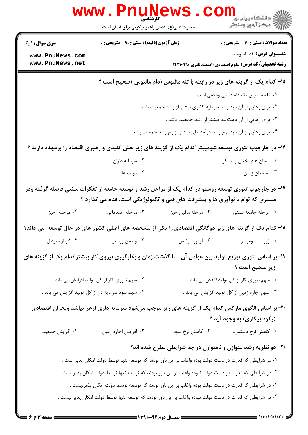|                        | www.PnuNews<br>حضرت علی(ع): دانش راهبر نیکویی برای ایمان است                                             |                    | دانشگاه پیام نور<br>ا∛ مرکز آزمون وسنجش                                                                                          |
|------------------------|----------------------------------------------------------------------------------------------------------|--------------------|----------------------------------------------------------------------------------------------------------------------------------|
| <b>سری سوال :</b> ۱ یک | <b>زمان آزمون (دقیقه) : تستی : ۹۰٪ تشریحی : 0</b>                                                        |                    | <b>تعداد سوالات : تستی : 40 ٪ تشریحی : 0</b>                                                                                     |
| www.PnuNews.com        |                                                                                                          |                    | عنـــوان درس: اقتصادتوسعه                                                                                                        |
| www.PnuNews.net        |                                                                                                          |                    | <b>رشته تحصیلی/کد درس:</b> علوم اقتصادی (اقتصادنظری )۱۲۲۱۰۹۹                                                                     |
|                        |                                                                                                          |                    | ۱۵– کدام یک از گزینه های زیر در رابطه با تله مالتوس (دام مالتوس )صحیح است ؟                                                      |
|                        |                                                                                                          |                    | ٠١ تله مالتوس يک دام قطعي ودائمي است .                                                                                           |
|                        |                                                                                                          |                    | ۰۲ برای رهایی از آن باید رشد سرمایه گذاری بیشتر از رشد جمعیت باشد .                                                              |
|                        |                                                                                                          |                    | ۰۳ برای رهایی از آن بایدتولید بیشتر از رشد جمعیت باشد .                                                                          |
|                        |                                                                                                          |                    | ۰۴ برای رهایی از آن باید نرخ رشد درآمد ملی بیشتر ازنرخ رشد جمعیت باشد .                                                          |
|                        |                                                                                                          |                    | ۱۶- در چارچوب تئوری توسعه شومپیتر کدام یک از گزینه های زیر نقش کلیدی و رهبری اقتصاد را برعهده دارند ؟                            |
|                        | ۰۲ سرمایه داران                                                                                          |                    | ۰۱ انسان های خلاق و مبتکر                                                                                                        |
|                        | ۰۴ دولت ها                                                                                               |                    | ۰۳ صاحبان زمين                                                                                                                   |
|                        | مسیری که توام با نوآوری ها و پیشرفت های فنی و تکنولوژیکی است، قدم می گذارد ؟                             |                    | ۱۷- در چارچوب تئوری توسعه روستو در کدام یک از مراحل رشد و توسعه جامعه از تفکرات سنتی فاصله گرفته ودر                             |
| ۰۴ مرحله خیز           | ۰۳ مرحله مقدماتی                                                                                         | ۰۲ مرحله ماقبل خيز | ۰۱ مرحله جامعه سنتی                                                                                                              |
|                        |                                                                                                          |                    | ۱۸–کدام یک از گزینه های زیر دوگانگی اقتصادی را یکی از مشخصه های اصلی کشور های در حال توسعه ًمی داند؟                             |
| ۰۴ گونار میردال        | ۰۳ ویتمن روستو                                                                                           | ۰۲ آرتور لوئیس     | ۰۱ ژوزف شومپیتر                                                                                                                  |
|                        |                                                                                                          |                    | ۱۹- بر اساس تئوری توزیع تولید بین عوامل آن  ، با گذشت زمان و بکارگیری نیروی کار بیشترکدام یک از گزینه های<br>زير صحيح است ؟      |
|                        | ۰۲ سهم نیروی کار از کل تولید افزایش می یابد .                                                            |                    | ۰۱ سهم نیروی کار از کل تولیدکاهش می یابد .                                                                                       |
|                        | ۰۴ سهم سود سرمایه دار از کل تولید افزایش می یابد .                                                       |                    | ۰۳ سهم اجاره زمین از کل تولید افزایش می یابد .                                                                                   |
|                        |                                                                                                          |                    | ۲۰– بر اساس الگوی مارکس کدام یک از گزینه های زیر موجب میشود سرمایه داری ازهم بپاشد وبحران اقتصادی<br>(رکود بیکاری) به وجود آید ؟ |
| ۰۴ افزايش جمعيت        | ۰۳ افزایش اجاره زمین                                                                                     | ۰۲ کاهش نرخ سود    | ۰۱ کاهش نرخ دستمزد                                                                                                               |
|                        |                                                                                                          |                    | <b>۲۱</b> - دو نظریه رشد متوازن و نامتوازن در چه شرایطی مطرح شده اند؟                                                            |
|                        | ۰۱ در شرایطی که قدرت در دست دولت بوده واغلب بر این باور بودند که توسعه تنها توسط دولت امکان پذیر است .   |                    |                                                                                                                                  |
|                        | ۰۲ در شرایطی که قدرت در دست دولت نبوده واغلب بر این باور بودند که توسعه تنها توسط دولت امکان پذیر است .  |                    |                                                                                                                                  |
|                        | ۰۳ در شرایطی که قدرت در دست دولت بوده واغلب بر این باور بودند که توسعه توسط دولت امکان پذیرنیست .        |                    |                                                                                                                                  |
|                        | ۰۴ در شرایطی که قدرت در دست دولت نبوده واغلب بر این باور بودند که توسعه تنها توسط دولت امکان پذیر نیست . |                    |                                                                                                                                  |
|                        |                                                                                                          |                    |                                                                                                                                  |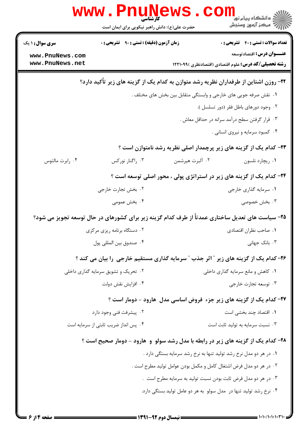| <b>WWW</b>                         | کارشناسی<br>حضرت علی(ع): دانش راهبر نیکویی برای ایمان است                                        |                                                                    | ڪ دانشڪاه پيا <sub>م</sub> نور<br>7- مرڪز آزمون وسنڊش                                            |
|------------------------------------|--------------------------------------------------------------------------------------------------|--------------------------------------------------------------------|--------------------------------------------------------------------------------------------------|
| <b>سری سوال : ۱ یک</b>             | <b>زمان آزمون (دقیقه) : تستی : ۹۰ تشریحی : 0</b>                                                 |                                                                    | <b>تعداد سوالات : تستي : 40 ٪ تشريحي : 0</b>                                                     |
| www.PnuNews.com<br>www.PnuNews.net |                                                                                                  |                                                                    | <b>عنـــوان درس:</b> اقتصادتوسعه<br><b>رشته تحصیلی/کد درس:</b> علوم اقتصادی (اقتصادنظری )۱۲۲۱۰۹۹ |
|                                    | ۲۲- روزن اشتاین از طرفداران نظریه رشد متوازن به کدام یک از گزینه های زیر تأکید دارد؟             |                                                                    |                                                                                                  |
|                                    |                                                                                                  | ۰۱ نقش صرفه جویی های خارجی و وابستگی متقابل بین بخش های مختلف .    |                                                                                                  |
|                                    |                                                                                                  |                                                                    | ۰۲ وجود دورهای باطل فقر (دور تسلسل ).                                                            |
|                                    |                                                                                                  |                                                                    | ۰۳ قرار گرفتن سطح درآمد سرانه در حداقل معاش .                                                    |
|                                    |                                                                                                  |                                                                    | ۰۴ کمبود سرمایه و نیروی انسانی .                                                                 |
|                                    |                                                                                                  |                                                                    | ۲۳- کدام یک از گزینه های زیر پرچمدار اصلی نظریه رشد نامتوازن است ؟                               |
| ۰۴ رابرت مالتوس                    | ۰۳ راگنار نورکس                                                                                  | ٢. آلبرت هيرشمن                                                    | ٠١ ريچارد نلسون                                                                                  |
|                                    |                                                                                                  |                                                                    | ۲۴- کدام یک از گزینه های زیر در استراتژی پولی ، محور اصلی توسعه است ؟                            |
|                                    | ۰۲ بخش تجارت خارجي                                                                               |                                                                    | ۰۱ سرمایه گذاری خارجی                                                                            |
|                                    | ۰۴ بخش عمومی                                                                                     |                                                                    | ۰۳ بخش خصوصی                                                                                     |
|                                    | ۲۵– سیاست های تعدیل ساختاری عمدتاً از طرف کدام گزینه زیر برای کشورهای در حال توسعه تجویز می شود؟ |                                                                    |                                                                                                  |
|                                    | ۲. دستگاه برنامه ریزی مرکزی                                                                      |                                                                    | ٠١ صاحب نظران اقتصادي                                                                            |
|                                    | ۰۴ صندوق بين المللي پول                                                                          |                                                                    | ۰۳ بانک جهانی                                                                                    |
|                                    | ۲۶- کدام یک از گزینه های زیر " اثر جذب " سرمایه گذاری مستقیم خارجی ًرا بیان می کند ؟             |                                                                    |                                                                                                  |
|                                    | ۰۲ تحریک و تشویق سرمایه گذاری داخلی                                                              |                                                                    | ٠١ كاهش و مانع سرمايه كذارى داخلي                                                                |
|                                    | ۰۴ افزايش نقش دولت                                                                               |                                                                    | ۰۳ توسعه تجارت خارجي                                                                             |
|                                    |                                                                                                  |                                                                    | ۲۷- کدام یک از گزینه های زیر جزء فروض اساسی مدل هارود - دومار است ؟                              |
|                                    | ۰۲ پیشرفت فنی وجود دارد                                                                          |                                                                    | ٠١. اقتصاد چند بخشی است                                                                          |
|                                    | ۰۴ پس انداز ضریب ثابتی از سرمایه است                                                             |                                                                    | ۰۳ نسبت سرمایه به تولید ثابت است                                                                 |
|                                    | ۲۸- کدام یک از گزینه های زیر در رابطه با مدل رشد سولو و هارود - دومار صحیح است ؟                 |                                                                    |                                                                                                  |
|                                    |                                                                                                  | ۰۱ در هر دو مدل نرخ رشد تولید تنها به نرخ رشد سرمایه بستگی دارد .  |                                                                                                  |
|                                    |                                                                                                  | ۰۲ در هر دو مدل فرض اشتغال کامل و مکمل بودن عوامل تولید مطرح است . |                                                                                                  |
|                                    |                                                                                                  | ۰۳ در هر دو مدل فرض ثابت بودن نسبت تولید به سرمایه مطرح است .      |                                                                                                  |
|                                    |                                                                                                  | ۰۴ نرخ رشد تولید تنها در آمدل سولو به هر دو عامل تولید بستگی دارد. |                                                                                                  |
|                                    |                                                                                                  |                                                                    |                                                                                                  |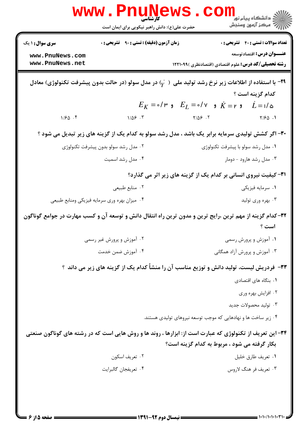|                                                                                                                                                                                 | <b>WWW.PNUNEWS</b><br>حضرت علی(ع): دانش راهبر نیکویی برای ایمان است                                                         |                                                                                                               | ڪ دانشڪاه پيا <sub>م</sub> نور<br><mark>√</mark> مرڪز آزمون وسنڊش         |  |
|---------------------------------------------------------------------------------------------------------------------------------------------------------------------------------|-----------------------------------------------------------------------------------------------------------------------------|---------------------------------------------------------------------------------------------------------------|---------------------------------------------------------------------------|--|
| <b>سری سوال :</b> ۱ یک<br>www.PnuNews.com                                                                                                                                       | <b>زمان آزمون (دقیقه) : تستی : ۹۰٪ تشریحی : 0</b>                                                                           |                                                                                                               | <b>تعداد سوالات : تستي : 40 - تشريحي : 0</b><br>عنـــوان درس: اقتصادتوسعه |  |
| www.PnuNews.net                                                                                                                                                                 |                                                                                                                             | <b>رشته تحصیلی/کد درس:</b> علوم اقتصادی (اقتصادنظری )۱۲۲۱۰۹۹                                                  |                                                                           |  |
|                                                                                                                                                                                 | با استفاده از اطلاعات زیر نرخ رشد تولید ملی $\mathfrak{r}'$ در مدل سولو (در حالت بدون پیشرفت تکنولوژی) معادل $\blacksquare$ |                                                                                                               |                                                                           |  |
|                                                                                                                                                                                 |                                                                                                                             | $E_K = \circ / \circ$ و $\dot{K} = \circ / \circ$ و $\dot{K} = \circ / \circ$ و $\dot{K} = \dot{K} = \dot{K}$ | كدام گزينه است ؟                                                          |  |
| 1/50.5                                                                                                                                                                          |                                                                                                                             |                                                                                                               |                                                                           |  |
|                                                                                                                                                                                 |                                                                                                                             |                                                                                                               |                                                                           |  |
| ۳۰- اگر کشش تولیدی سرمایه برابر یک باشد ، مدل رشد سولو به کدام یک از گزینه های زیر تبدیل می شود ؟<br>۰۱ مدل رشد سولو با پیشرفت تکنولوژی<br>۰۲ مدل رشد سولو بدون پیشرفت تکنولوژی |                                                                                                                             |                                                                                                               |                                                                           |  |
|                                                                                                                                                                                 | ۰۴ مدل رشد اسمیت                                                                                                            |                                                                                                               | ۰۳ مدل رشد هارود - دومار                                                  |  |
|                                                                                                                                                                                 |                                                                                                                             | <b>۳۱</b> - کیفیت نیروی انسانی بر کدام یک از گزینه های زیر اثر می گذارد؟                                      |                                                                           |  |
|                                                                                                                                                                                 | ۰۲ منابع طبیعی                                                                                                              |                                                                                                               | ۰۱ سرمايه فيزيكي                                                          |  |
|                                                                                                                                                                                 | ۰۴ میزان بهره وری سرمایه فیزیکی ومنابع طبیعی                                                                                |                                                                                                               | ۰۳ بهره وری تولید                                                         |  |
| ۳۲–کدام گزینه از مهم ترین ،رایج ترین و مدون ترین راه انتقال دانش و توسعه آن و کسب مهارت در جوامع گوناگون<br>است ؟                                                               |                                                                                                                             |                                                                                                               |                                                                           |  |
|                                                                                                                                                                                 | ۰۲ آموزش و پرورش غیر رسمی                                                                                                   |                                                                                                               | ۰۱ آموزش و پرورش رسمی                                                     |  |
|                                                                                                                                                                                 | ۰۴ آموزش ضمن خدمت                                                                                                           |                                                                                                               | ۰۳ آموزش و پرورش آزاد همگانی                                              |  |
| ۳۳- فردریش لیست، تولید دانش و توزیع مناسب آن را منشاً کدام یک از گزینه های زیر می داند ؟                                                                                        |                                                                                                                             |                                                                                                               |                                                                           |  |
|                                                                                                                                                                                 |                                                                                                                             |                                                                                                               | ۰۱ بنگاه های اقتصادی                                                      |  |
|                                                                                                                                                                                 |                                                                                                                             |                                                                                                               | ۰۲ افزایش بهره وری                                                        |  |
|                                                                                                                                                                                 |                                                                                                                             |                                                                                                               | ۰۳ تولید محصولات جدید                                                     |  |
|                                                                                                                                                                                 |                                                                                                                             | ۰۴ زیر ساخت ها و نهادهایی که موجب توسعه نیروهای تولیدی هستند.                                                 |                                                                           |  |
|                                                                                                                                                                                 | ۳۴- این تعریف از تکنولوژی که عبارت است از: ابزارها ، روند ها و روش هایی است که در رشته های گوناگون صنعتی                    |                                                                                                               |                                                                           |  |
|                                                                                                                                                                                 |                                                                                                                             | بکار گرفته می شود ، مربوط به کدام گزینه است؟                                                                  |                                                                           |  |
|                                                                                                                                                                                 | ۰۲ تعريف اسكون                                                                                                              |                                                                                                               | ٠١ تعريف طارق خليل                                                        |  |
|                                                                                                                                                                                 | ۰۴ تعريفجان گالبرايت                                                                                                        |                                                                                                               | ۰۳ تعریف فر هنگ لاروس                                                     |  |
|                                                                                                                                                                                 |                                                                                                                             |                                                                                                               |                                                                           |  |
|                                                                                                                                                                                 |                                                                                                                             |                                                                                                               |                                                                           |  |